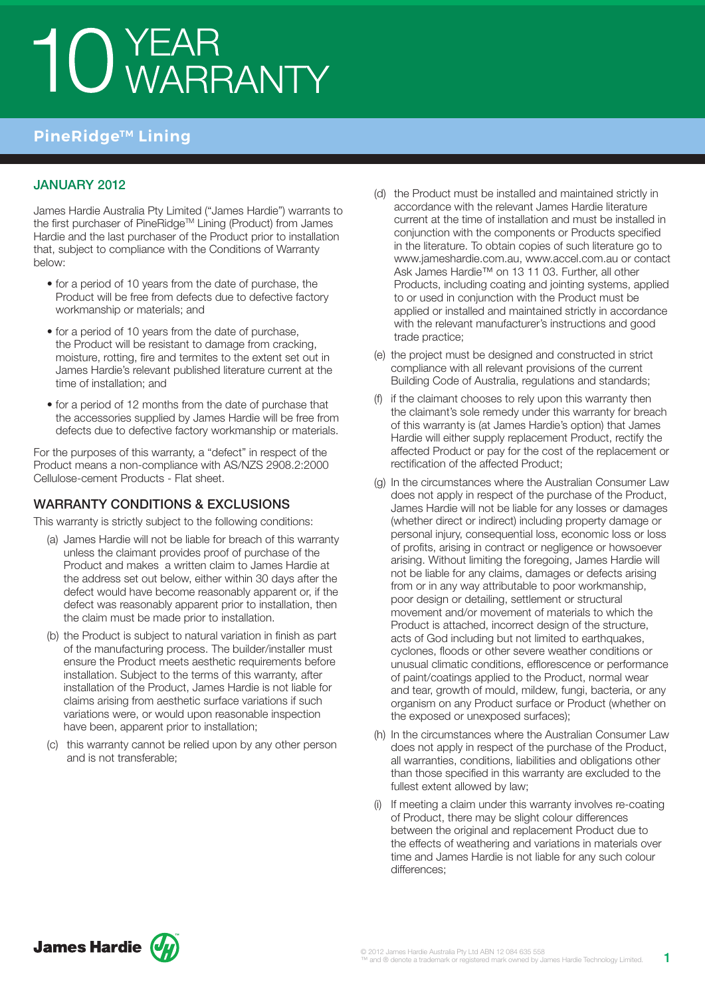## 10 YEAR<br>10 WARRANTY

## **PineRidge™ Lining**

### January 2012

James Hardie Australia Pty Limited ("James Hardie") warrants to the first purchaser of PineRidge™ Lining (Product) from James Hardie and the last purchaser of the Product prior to installation that, subject to compliance with the Conditions of Warranty below:

- for a period of 10 years from the date of purchase, the Product will be free from defects due to defective factory workmanship or materials; and
- for a period of 10 years from the date of purchase, the Product will be resistant to damage from cracking, moisture, rotting, fire and termites to the extent set out in James Hardie's relevant published literature current at the time of installation; and
- for a period of 12 months from the date of purchase that the accessories supplied by James Hardie will be free from defects due to defective factory workmanship or materials.

For the purposes of this warranty, a "defect" in respect of the Product means a non-compliance with AS/NZS 2908.2:2000 Cellulose-cement Products - Flat sheet.

#### WARRANTY CONDITIONS & EXCLUSIONS

This warranty is strictly subject to the following conditions:

- (a) James Hardie will not be liable for breach of this warranty unless the claimant provides proof of purchase of the Product and makes a written claim to James Hardie at the address set out below, either within 30 days after the defect would have become reasonably apparent or, if the defect was reasonably apparent prior to installation, then the claim must be made prior to installation.
- (b) the Product is subject to natural variation in finish as part of the manufacturing process. The builder/installer must ensure the Product meets aesthetic requirements before installation. Subject to the terms of this warranty, after installation of the Product, James Hardie is not liable for claims arising from aesthetic surface variations if such variations were, or would upon reasonable inspection have been, apparent prior to installation;
- (c) this warranty cannot be relied upon by any other person and is not transferable;
- (d) the Product must be installed and maintained strictly in accordance with the relevant James Hardie literature current at the time of installation and must be installed in conjunction with the components or Products specified in the literature. To obtain copies of such literature go to www.jameshardie.com.au, www.accel.com.au or contact Ask James Hardie™ on 13 11 03. Further, all other Products, including coating and jointing systems, applied to or used in conjunction with the Product must be applied or installed and maintained strictly in accordance with the relevant manufacturer's instructions and good trade practice;
- (e) the project must be designed and constructed in strict compliance with all relevant provisions of the current Building Code of Australia, regulations and standards;
- (f) if the claimant chooses to rely upon this warranty then the claimant's sole remedy under this warranty for breach of this warranty is (at James Hardie's option) that James Hardie will either supply replacement Product, rectify the affected Product or pay for the cost of the replacement or rectification of the affected Product;
- (g) In the circumstances where the Australian Consumer Law does not apply in respect of the purchase of the Product, James Hardie will not be liable for any losses or damages (whether direct or indirect) including property damage or personal injury, consequential loss, economic loss or loss of profits, arising in contract or negligence or howsoever arising. Without limiting the foregoing, James Hardie will not be liable for any claims, damages or defects arising from or in any way attributable to poor workmanship, poor design or detailing, settlement or structural movement and/or movement of materials to which the Product is attached, incorrect design of the structure, acts of God including but not limited to earthquakes, cyclones, floods or other severe weather conditions or unusual climatic conditions, efflorescence or performance of paint/coatings applied to the Product, normal wear and tear, growth of mould, mildew, fungi, bacteria, or any organism on any Product surface or Product (whether on the exposed or unexposed surfaces);
- (h) In the circumstances where the Australian Consumer Law does not apply in respect of the purchase of the Product, all warranties, conditions, liabilities and obligations other than those specified in this warranty are excluded to the fullest extent allowed by law;
- (i) If meeting a claim under this warranty involves re-coating of Product, there may be slight colour differences between the original and replacement Product due to the effects of weathering and variations in materials over time and James Hardie is not liable for any such colour differences;